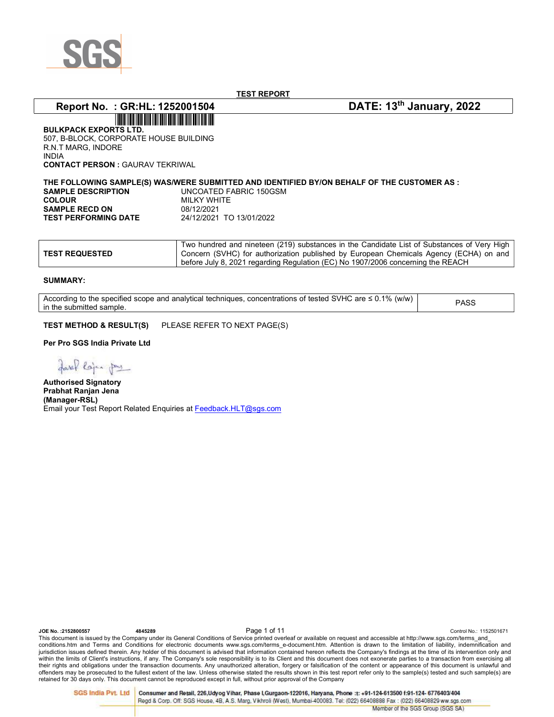

# Report No. : GR:HL: 1252001504 DATE: 13<sup>th</sup> January, 2022

BULKPACK EXPORTS LTD. 507, B-BLOCK, CORPORATE HOUSE BUILDING R.N.T MARG, INDORE INDIA CONTACT PERSON : GAURAV TEKRIWAL

THE FOLLOWING SAMPLE(S) WAS/WERE SUBMITTED AND IDENTIFIED BY/ON BEHALF OF THE CUSTOMER AS : SAMPLE DESCRIPTION UNCOATED FABRIC 150GSM **COLOUR MILKY WHITE SAMPLE RECD ON 68/12/2021<br>TEST PERFORMING DATE 24/12/2021 TO 13/01/2022 TEST PERFORMING DATE** 

|                       | Two hundred and nineteen (219) substances in the Candidate List of Substances of Very High |
|-----------------------|--------------------------------------------------------------------------------------------|
| <b>TEST REQUESTED</b> | Concern (SVHC) for authorization published by European Chemicals Agency (ECHA) on and      |
|                       | before July 8, 2021 regarding Regulation (EC) No 1907/2006 concerning the REACH            |

#### SUMMARY:

According to the specified scope and analytical techniques, concentrations of tested SVHC are ≤ 0.1% (w/w) in the submitted sample. PASS

TEST METHOD & RESULT(S) PLEASE REFER TO NEXT PAGE(S)

Per Pro SGS India Private Ltd

garaf lojen pay

Authorised Signatory Prabhat Ranjan Jena (Manager-RSL) Email your Test Report Related Enquiries at Feedback.HLT@sgs.com

ODE No. :2152800557 Control No.: 1152501671<br>This document is issued by the Company under its General Conditions of Service printed overleaf or available on request and accessible at http://www.sgs.com/terms\_and\_ conditions.htm and Terms and Conditions for electronic documents www.sgs.com/terms\_e-document.htm. Attention is drawn to the limitation of liability, indemnification and jurisdiction issues defined therein. Any holder of this document is advised that information contained hereon reflects the Company's findings at the time of its intervention only and within the limits of Client's instructions, if any. The Company's sole responsibility is to its Client and this document does not exonerate parties to a transaction from exercising all their rights and obligations under the transaction documents. Any unauthorized alteration, forgery or falsification of the content or appearance of this document is unlawful and offenders may be prosecuted to the fullest extent of the law. Unless otherwise stated the results shown in this test report refer only to the sample(s) tested and such sample(s) are retained for 30 days only. This document cannot be reproduced except in full, without prior approval of the Company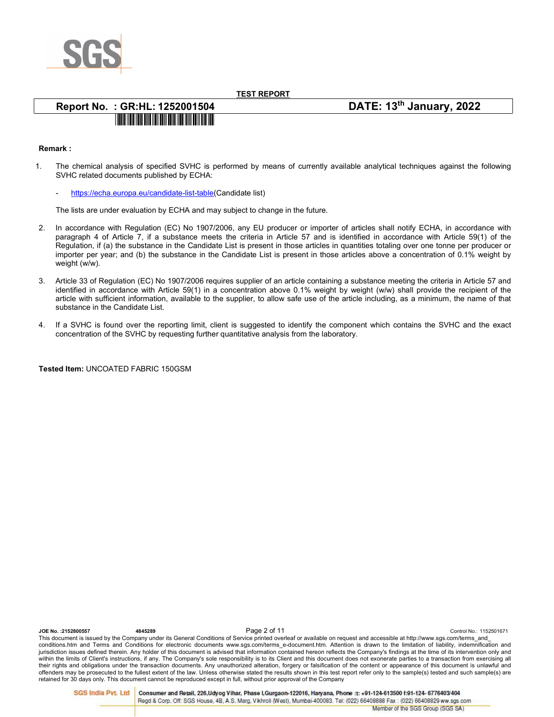

# Report No. : GR:HL: 1252001504 DATE: 13<sup>th</sup> January, 2022 <u> III dheer ah ah isaa mid ah ah isaa mid ah ah isaa mid ah isaa mid ah isaa mid ah isaa mid ah isaa mid ah isa</u>

## Remark :

- 1. The chemical analysis of specified SVHC is performed by means of currently available analytical techniques against the following SVHC related documents published by ECHA:
	- https://echa.europa.eu/candidate-list-table(Candidate list)

The lists are under evaluation by ECHA and may subject to change in the future.

- 2. In accordance with Regulation (EC) No 1907/2006, any EU producer or importer of articles shall notify ECHA, in accordance with paragraph 4 of Article 7, if a substance meets the criteria in Article 57 and is identified in accordance with Article 59(1) of the Regulation, if (a) the substance in the Candidate List is present in those articles in quantities totaling over one tonne per producer or importer per year; and (b) the substance in the Candidate List is present in those articles above a concentration of 0.1% weight by weight (w/w).
- 3. Article 33 of Regulation (EC) No 1907/2006 requires supplier of an article containing a substance meeting the criteria in Article 57 and identified in accordance with Article 59(1) in a concentration above 0.1% weight by weight (w/w) shall provide the recipient of the article with sufficient information, available to the supplier, to allow safe use of the article including, as a minimum, the name of that substance in the Candidate List.
- 4. If a SVHC is found over the reporting limit, client is suggested to identify the component which contains the SVHC and the exact concentration of the SVHC by requesting further quantitative analysis from the laboratory.

Tested Item: UNCOATED FABRIC 150GSM

Ontrol No.: 2152800557 - 4845289 - 4845289 - Page 2 of 11<br>This document is issued by the Company under its General Conditions of Service printed overleaf or available on request and accessible at http://www.sgs.com/terms conditions.htm and Terms and Conditions for electronic documents www.sgs.com/terms\_e-document.htm. Attention is drawn to the limitation of liability, indemnification and jurisdiction issues defined therein. Any holder of this document is advised that information contained hereon reflects the Company's findings at the time of its intervention only and within the limits of Client's instructions, if any. The Company's sole responsibility is to its Client and this document does not exonerate parties to a transaction from exercising all their rights and obligations under the transaction documents. Any unauthorized alteration, forgery or falsification of the content or appearance of this document is unlawful and offenders may be prosecuted to the fullest extent of the law. Unless otherwise stated the results shown in this test report refer only to the sample(s) tested and such sample(s) are retained for 30 days only. This document cannot be reproduced except in full, without prior approval of the Company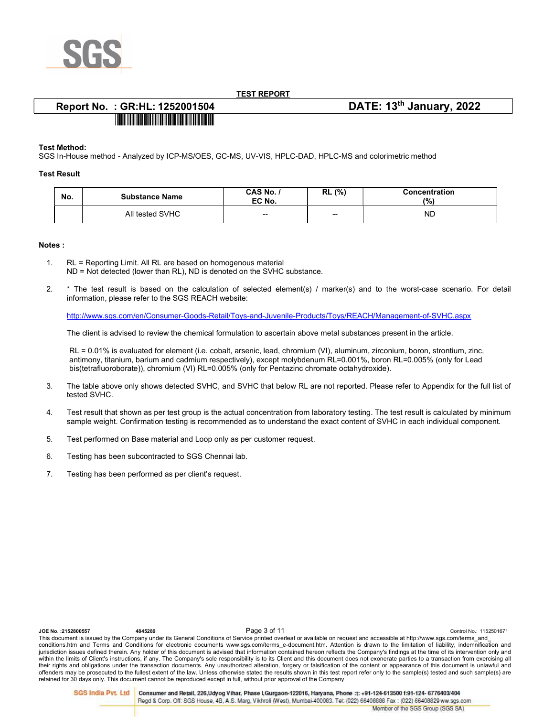

# Report No. : GR:HL: 1252001504 DATE: 13<sup>th</sup> January, 2022

# <u>TITILII ILI TATTI TIITTII TATTI TATTI TATTI TATTI TATTI TATTI TATTI T</u>

### Test Method:

SGS In-House method - Analyzed by ICP-MS/OES, GC-MS, UV-VIS, HPLC-DAD, HPLC-MS and colorimetric method

### Test Result

| No. | <b>Substance Name</b> | CAS No. /<br>EC No. | (%)<br>RL                | Concentration<br>(%) |
|-----|-----------------------|---------------------|--------------------------|----------------------|
|     | All tested SVHC       | $-$                 | $\overline{\phantom{a}}$ | <b>ND</b>            |

### Notes :

- 1. RL = Reporting Limit. All RL are based on homogenous material ND = Not detected (lower than RL), ND is denoted on the SVHC substance.
- 2. \* The test result is based on the calculation of selected element(s) / marker(s) and to the worst-case scenario. For detail information, please refer to the SGS REACH website:

http://www.sgs.com/en/Consumer-Goods-Retail/Toys-and-Juvenile-Products/Toys/REACH/Management-of-SVHC.aspx

The client is advised to review the chemical formulation to ascertain above metal substances present in the article.

RL = 0.01% is evaluated for element (i.e. cobalt, arsenic, lead, chromium (VI), aluminum, zirconium, boron, strontium, zinc, antimony, titanium, barium and cadmium respectively), except molybdenum RL=0.001%, boron RL=0.005% (only for Lead bis(tetrafluoroborate)), chromium (VI) RL=0.005% (only for Pentazinc chromate octahydroxide).

- 3. The table above only shows detected SVHC, and SVHC that below RL are not reported. Please refer to Appendix for the full list of tested SVHC.
- 4. Test result that shown as per test group is the actual concentration from laboratory testing. The test result is calculated by minimum sample weight. Confirmation testing is recommended as to understand the exact content of SVHC in each individual component.
- 5. Test performed on Base material and Loop only as per customer request.
- 6. Testing has been subcontracted to SGS Chennai lab.
- 7. Testing has been performed as per client's request.

| JOE No.: 2152800557 | 4845289 | Page 3 of 11                                                                                                                                                           | Control No.: 1152501671                                                                                                                                                                  |
|---------------------|---------|------------------------------------------------------------------------------------------------------------------------------------------------------------------------|------------------------------------------------------------------------------------------------------------------------------------------------------------------------------------------|
|                     |         | This document is issued by the Company under its General Conditions of Service printed overleaf or available on request and accessible at http://www.sqs.com/terms and |                                                                                                                                                                                          |
|                     |         |                                                                                                                                                                        | conditions.htm and Terms and Conditions for electronic documents www.sqs.com/terms e-document.htm. Attention is drawn to the limitation of liability, indemnification and                |
|                     |         |                                                                                                                                                                        | jurisdiction issues defined therein. Any holder of this document is advised that information contained hereon reflects the Company's findings at the time of its intervention only and   |
|                     |         |                                                                                                                                                                        | within the limits of Client's instructions, if any. The Company's sole responsibility is to its Client and this document does not exonerate parties to a transaction from exercising all |
|                     |         |                                                                                                                                                                        | their rights and obligations under the transaction documents. Any unauthorized alteration, forgery or falsification of the content or appearance of this document is unlawful and        |
|                     |         |                                                                                                                                                                        | offenders may be prosecuted to the fullest extent of the law. Unless otherwise stated the results shown in this test report refer only to the sample(s) tested and such sample(s) are    |
|                     |         | retained for 30 days only. This document cannot be reproduced except in full, without prior approval of the Company                                                    |                                                                                                                                                                                          |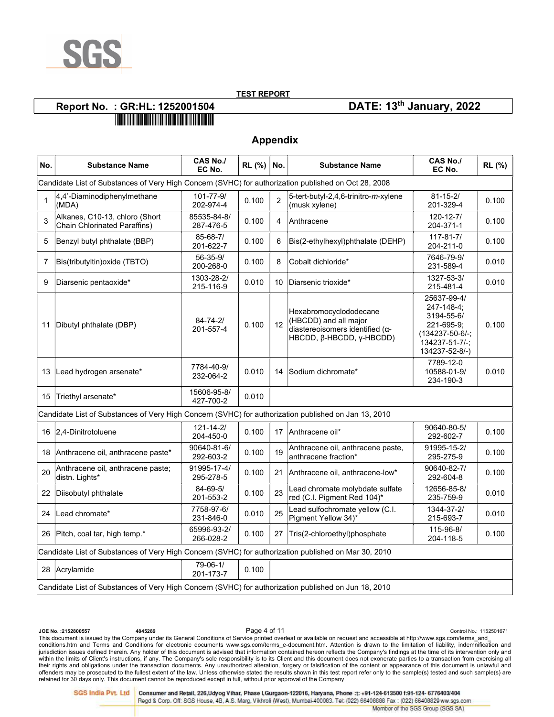

Appendix

# Report No. : GR:HL: 1252001504 DATE: 13<sup>th</sup> January, 2022

| No.          | <b>Substance Name</b>                                                                                | CAS No./<br>EC No.           | RL (%) | No. | <b>Substance Name</b>                                                                                          | <b>CAS No./</b><br>EC No.                                                                                    | RL (%) |
|--------------|------------------------------------------------------------------------------------------------------|------------------------------|--------|-----|----------------------------------------------------------------------------------------------------------------|--------------------------------------------------------------------------------------------------------------|--------|
|              | Candidate List of Substances of Very High Concern (SVHC) for authorization published on Oct 28, 2008 |                              |        |     |                                                                                                                |                                                                                                              |        |
| $\mathbf{1}$ | 4,4'-Diaminodiphenylmethane<br>(MDA)                                                                 | 101-77-9/<br>202-974-4       | 0.100  | 2   | 5-tert-butyl-2,4,6-trinitro- <i>m</i> -xylene<br>(musk xylene)                                                 | $81 - 15 - 2/$<br>201-329-4                                                                                  | 0.100  |
| 3            | Alkanes, C10-13, chloro (Short<br><b>Chain Chlorinated Paraffins)</b>                                | 85535-84-8/<br>287-476-5     | 0.100  | 4   | Anthracene                                                                                                     | $120 - 12 - 7/$<br>204-371-1                                                                                 | 0.100  |
| 5            | Benzyl butyl phthalate (BBP)                                                                         | 85-68-7/<br>201-622-7        | 0.100  | 6   | Bis(2-ethylhexyl)phthalate (DEHP)                                                                              | $117 - 81 - 7/$<br>204-211-0                                                                                 | 0.100  |
| 7            | Bis(tributyltin) oxide (TBTO)                                                                        | 56-35-9/<br>200-268-0        | 0.100  | 8   | ∣Cobalt dichloride*                                                                                            | 7646-79-9/<br>231-589-4                                                                                      | 0.010  |
| 9            | Diarsenic pentaoxide*                                                                                | 1303-28-2/<br>215-116-9      | 0.010  | 10  | Diarsenic trioxide*                                                                                            | 1327-53-3/<br>215-481-4                                                                                      | 0.010  |
| 11           | Dibutyl phthalate (DBP)                                                                              | $84 - 74 - 2/$<br>201-557-4  | 0.100  | 12  | Hexabromocyclododecane<br>(HBCDD) and all major<br>diastereoisomers identified (α-<br>HBCDD, β-HBCDD, γ-HBCDD) | 25637-99-4/<br>247-148-4;<br>3194-55-6/<br>221-695-9;<br>(134237-50-6/-;<br>134237-51-7/-;<br>134237-52-8/-) | 0.100  |
| 13           | Lead hydrogen arsenate*                                                                              | 7784-40-9/<br>232-064-2      | 0.010  | 14  | Sodium dichromate*                                                                                             | 7789-12-0<br>10588-01-9/<br>234-190-3                                                                        | 0.010  |
| 15           | Triethyl arsenate*                                                                                   | 15606-95-8/<br>427-700-2     | 0.010  |     |                                                                                                                |                                                                                                              |        |
|              | Candidate List of Substances of Very High Concern (SVHC) for authorization published on Jan 13, 2010 |                              |        |     |                                                                                                                |                                                                                                              |        |
| 16           | 2,4-Dinitrotoluene                                                                                   | $121 - 14 - 2/$<br>204-450-0 | 0.100  |     | 17 Anthracene oil*                                                                                             | 90640-80-5/<br>292-602-7                                                                                     | 0.100  |
| 18           | Anthracene oil, anthracene paste*                                                                    | 90640-81-6/<br>292-603-2     | 0.100  | 19  | Anthracene oil, anthracene paste,<br>anthracene fraction*                                                      | 91995-15-2/<br>295-275-9                                                                                     | 0.100  |
| 20           | Anthracene oil, anthracene paste;<br>distn. Lights*                                                  | 91995-17-4/<br>295-278-5     | 0.100  | 21  | Anthracene oil, anthracene-low*                                                                                | 90640-82-7/<br>292-604-8                                                                                     | 0.100  |
| 22           | Diisobutyl phthalate                                                                                 | 84-69-5/<br>201-553-2        | 0.100  | 23  | Lead chromate molybdate sulfate<br>red (C.I. Pigment Red 104)*                                                 | 12656-85-8/<br>235-759-9                                                                                     | 0.010  |
| 24           | Lead chromate*                                                                                       | 7758-97-6/<br>231-846-0      | 0.010  | 25  | Lead sulfochromate yellow (C.I.<br>Pigment Yellow 34)*                                                         | 1344-37-2/<br>215-693-7                                                                                      | 0.010  |
| 26           | Pitch, coal tar, high temp.*                                                                         | 65996-93-2/<br>266-028-2     | 0.100  | 27  | Tris(2-chloroethyl)phosphate                                                                                   | 115-96-8/<br>204-118-5                                                                                       | 0.100  |
|              | Candidate List of Substances of Very High Concern (SVHC) for authorization published on Mar 30, 2010 |                              |        |     |                                                                                                                |                                                                                                              |        |
| 28           | Acrylamide                                                                                           | 79-06-1/<br>201-173-7        | 0.100  |     |                                                                                                                |                                                                                                              |        |
|              | Candidate List of Substances of Very High Concern (SVHC) for authorization published on Jun 18, 2010 |                              |        |     |                                                                                                                |                                                                                                              |        |

Ontrol No.: 2152800557 - 4845289 - 4845289 - Page 4 of 11<br>This document is issued by the Company under its General Conditions of Service printed overleaf or available on request and accessible at http://www.sgs.com/terms conditions.htm and Terms and Conditions for electronic documents www.sgs.com/terms\_e-document.htm. Attention is drawn to the limitation of liability, indemnification and jurisdiction issues defined therein. Any holder of this document is advised that information contained hereon reflects the Company's findings at the time of its intervention only and within the limits of Client's instructions, if any. The Company's sole responsibility is to its Client and this document does not exonerate parties to a transaction from exercising all<br>their rights and obligations under th retained for 30 days only. This document cannot be reproduced except in full, without prior approval of the Company

**SGS India Pvt. Ltd** 

Consumer and Retail, 226, Udyog Vihar, Phase I, Gurgaon-122016, Haryana, Phone :t: +91-124-613500 f:91-124- 6776403/404 Regd & Corp. Off: SGS House, 4B, A.S. Marg, Vikhroli (West), Mumbai-400083. Tel: (022) 66408888 Fax: (022) 66408829 ww.sgs.com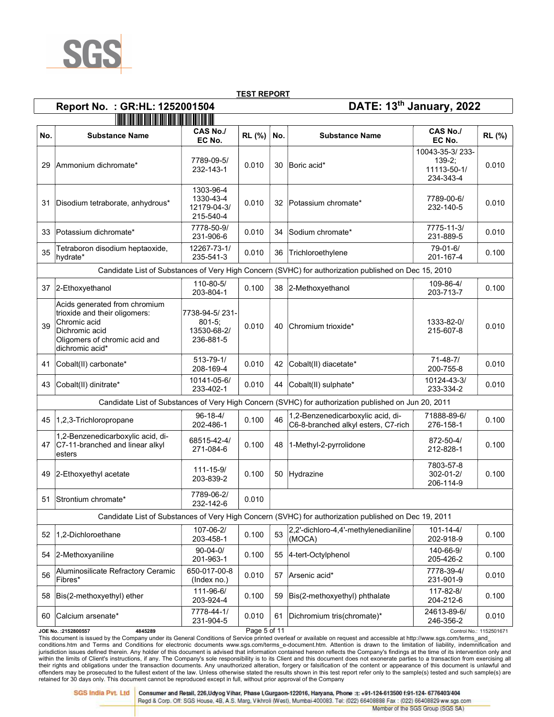

# Report No. : GR:HL: 1252001504 DATE: 13th January, 2022

|     | <u> 1989 - Johann Maria Maria Maria Maria Maria Maria Maria Maria Maria Maria Maria Maria Maria Maria Maria Mari</u>                                                                                     |                                                           |              |     |                                                                                                      |                                                         |                         |  |  |  |  |
|-----|----------------------------------------------------------------------------------------------------------------------------------------------------------------------------------------------------------|-----------------------------------------------------------|--------------|-----|------------------------------------------------------------------------------------------------------|---------------------------------------------------------|-------------------------|--|--|--|--|
| No. | <b>Substance Name</b>                                                                                                                                                                                    | <b>CAS No./</b><br>EC No.                                 | RL (%)       | No. | <b>Substance Name</b>                                                                                | <b>CAS No./</b><br>EC No.                               | RL (%)                  |  |  |  |  |
| 29  | Ammonium dichromate*                                                                                                                                                                                     | 7789-09-5/<br>232-143-1                                   | 0.010        | 30  | Boric acid*                                                                                          | 10043-35-3/233-<br>$139-2:$<br>11113-50-1/<br>234-343-4 | 0.010                   |  |  |  |  |
| 31  | Disodium tetraborate, anhydrous*                                                                                                                                                                         | 1303-96-4<br>1330-43-4<br>12179-04-3/<br>215-540-4        | 0.010        | 32  | Potassium chromate*                                                                                  | 7789-00-6/<br>232-140-5                                 | 0.010                   |  |  |  |  |
| 33  | Potassium dichromate*                                                                                                                                                                                    | 7778-50-9/<br>231-906-6                                   | 0.010        | 34  | Sodium chromate*                                                                                     | 7775-11-3/<br>231-889-5                                 | 0.010                   |  |  |  |  |
| 35  | Tetraboron disodium heptaoxide,<br>hydrate*                                                                                                                                                              | 12267-73-1/<br>235-541-3                                  | 0.010        | 36  | Trichloroethylene                                                                                    | 79-01-6/<br>201-167-4                                   | 0.100                   |  |  |  |  |
|     |                                                                                                                                                                                                          |                                                           |              |     | Candidate List of Substances of Very High Concern (SVHC) for authorization published on Dec 15, 2010 |                                                         |                         |  |  |  |  |
| 37  | 2-Ethoxyethanol                                                                                                                                                                                          | 110-80-5/<br>203-804-1                                    | 0.100        | 38  | 2-Methoxyethanol                                                                                     | 109-86-4/<br>203-713-7                                  | 0.100                   |  |  |  |  |
| 39  | Acids generated from chromium<br>trioxide and their oligomers:<br>Chromic acid<br>Dichromic acid<br>Oligomers of chromic acid and<br>dichromic acid*                                                     | 7738-94-5/231-<br>$801 - 5$ ;<br>13530-68-2/<br>236-881-5 | 0.010        | 40  | Chromium trioxide*                                                                                   | 1333-82-0/<br>215-607-8                                 | 0.010                   |  |  |  |  |
| 41  | Cobalt(II) carbonate*                                                                                                                                                                                    | $513 - 79 - 1/$<br>208-169-4                              | 0.010        | 42  | Cobalt(II) diacetate*                                                                                | $71 - 48 - 7/$<br>200-755-8                             | 0.010                   |  |  |  |  |
| 43  | Cobalt(II) dinitrate*                                                                                                                                                                                    | 10141-05-6/<br>233-402-1                                  | 0.010        | 44  | Cobalt(II) sulphate*                                                                                 | 10124-43-3/<br>233-334-2                                | 0.010                   |  |  |  |  |
|     |                                                                                                                                                                                                          |                                                           |              |     | Candidate List of Substances of Very High Concern (SVHC) for authorization published on Jun 20, 2011 |                                                         |                         |  |  |  |  |
| 45  | 1,2,3-Trichloropropane                                                                                                                                                                                   | $96 - 18 - 4/$<br>202-486-1                               | 0.100        | 46  | 1,2-Benzenedicarboxylic acid, di-<br>C6-8-branched alkyl esters, C7-rich                             | 71888-89-6/<br>276-158-1                                | 0.100                   |  |  |  |  |
| 47  | 1,2-Benzenedicarboxylic acid, di-<br>C7-11-branched and linear alkyl<br>esters                                                                                                                           | 68515-42-4/<br>271-084-6                                  | 0.100        | 48  | 1-Methyl-2-pyrrolidone                                                                               | 872-50-4/<br>212-828-1                                  | 0.100                   |  |  |  |  |
| 49  | 2-Ethoxyethyl acetate                                                                                                                                                                                    | $111 - 15 - 9/$<br>203-839-2                              | 0.100        | 50  | Hydrazine                                                                                            | 7803-57-8<br>302-01-2/<br>206-114-9                     | 0.100                   |  |  |  |  |
| 51  | Strontium chromate*                                                                                                                                                                                      | 7789-06-2/<br>232-142-6                                   | 0.010        |     |                                                                                                      |                                                         |                         |  |  |  |  |
|     |                                                                                                                                                                                                          |                                                           |              |     | Candidate List of Substances of Very High Concern (SVHC) for authorization published on Dec 19, 2011 |                                                         |                         |  |  |  |  |
| 52  | 1,2-Dichloroethane                                                                                                                                                                                       | 107-06-2/<br>203-458-1                                    | 0.100        | 53  | 2,2'-dichloro-4,4'-methylenedianiline<br>(MOCA)                                                      | $101 - 14 - 4/$<br>202-918-9                            | 0.100                   |  |  |  |  |
| 54  | 2-Methoxyaniline                                                                                                                                                                                         | $90 - 04 - 0/$<br>201-963-1                               | 0.100        | 55  | 4-tert-Octylphenol                                                                                   | 140-66-9/<br>205-426-2                                  | 0.100                   |  |  |  |  |
| 56  | Aluminosilicate Refractory Ceramic<br>Fibres*                                                                                                                                                            | 650-017-00-8<br>(Index no.)                               | 0.010        | 57  | Arsenic acid*                                                                                        | 7778-39-4/<br>231-901-9                                 | 0.010                   |  |  |  |  |
| 58  | Bis(2-methoxyethyl) ether                                                                                                                                                                                | 111-96-6/<br>203-924-4                                    | 0.100        | 59  | Bis(2-methoxyethyl) phthalate                                                                        | 117-82-8/<br>204-212-6                                  | 0.100                   |  |  |  |  |
| 60  | Calcium arsenate*                                                                                                                                                                                        | 7778-44-1/<br>231-904-5                                   | 0.010        | 61  | Dichromium tris(chromate)*                                                                           | 24613-89-6/<br>246-356-2                                | 0.010                   |  |  |  |  |
|     | JOE No.: 2152800557<br>4845289<br>This document is issued by the Company under its General Conditions of Service printed overleaf or available on request and accessible at http://www.sgs.com/terms and |                                                           | Page 5 of 11 |     |                                                                                                      |                                                         | Control No.: 1152501671 |  |  |  |  |

conditions.htm and Terms and Conditions for electronic documents www.sgs.com/terms\_e-document.htm. Attention is drawn to the limitation of liability, indemnification and jurisdiction issues defined therein. Any holder of this document is advised that information contained hereon reflects the Company's findings at the time of its intervention only and within the limits of Client's instructions, if any. The Company's sole responsibility is to its Client and this document does not exonerate parties to a transaction from exercising all<br>their rights and obligations under th retained for 30 days only. This document cannot be reproduced except in full, without prior approval of the Company

Consumer and Retail, 226, Udyog Vihar, Phase I, Gurgaon-122016, Haryana, Phone :t: +91-124-613500 f:91-124-6776403/404 Regd & Corp. Off: SGS House, 4B, A.S. Marg, Vikhroli (West), Mumbai-400083. Tel: (022) 66408888 Fax: (022) 66408829 ww.sgs.com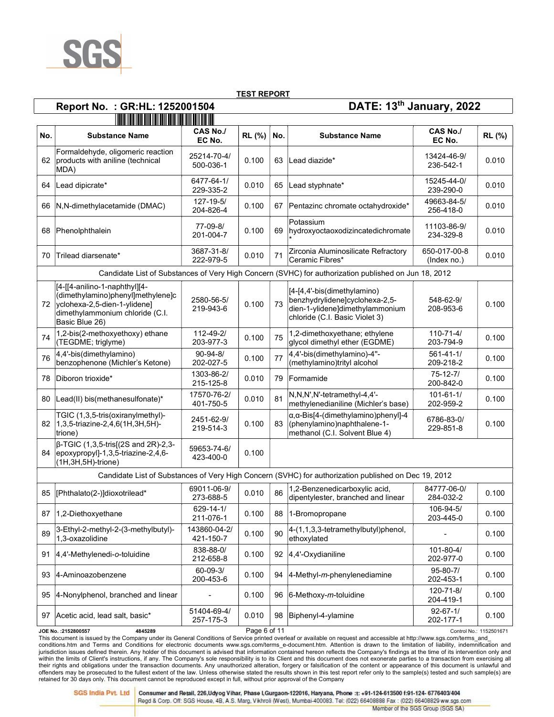

# Report No. : GR:HL: 1252001504 DATE: 13th January, 2022

| No. | <b>Substance Name</b>                                                                                                                                                                                     | <b>CAS No./</b><br>EC No.    | RL (%)       | No. | <b>Substance Name</b>                                                                                                              | <b>CAS No./</b><br>EC No.    | RL (%)                  |  |  |  |  |
|-----|-----------------------------------------------------------------------------------------------------------------------------------------------------------------------------------------------------------|------------------------------|--------------|-----|------------------------------------------------------------------------------------------------------------------------------------|------------------------------|-------------------------|--|--|--|--|
|     | Formaldehyde, oligomeric reaction<br>62 products with aniline (technical<br>MDA)                                                                                                                          | 25214-70-4/<br>500-036-1     | 0.100        | 63  | Lead diazide*                                                                                                                      | 13424-46-9/<br>236-542-1     | 0.010                   |  |  |  |  |
| 64  | Lead dipicrate*                                                                                                                                                                                           | 6477-64-1/<br>229-335-2      | 0.010        | 65  | Lead styphnate*                                                                                                                    | 15245-44-0/<br>239-290-0     | 0.010                   |  |  |  |  |
| 66  | N,N-dimethylacetamide (DMAC)                                                                                                                                                                              | $127 - 19 - 5/$<br>204-826-4 | 0.100        |     | 67 Pentazinc chromate octahydroxide*                                                                                               | 49663-84-5/<br>256-418-0     | 0.010                   |  |  |  |  |
| 68  | Phenolphthalein                                                                                                                                                                                           | 77-09-8/<br>201-004-7        | 0.100        | 69  | Potassium<br>hydroxyoctaoxodizincatedichromate                                                                                     | 11103-86-9/<br>234-329-8     | 0.010                   |  |  |  |  |
| 70  | Trilead diarsenate*                                                                                                                                                                                       | 3687-31-8/<br>222-979-5      | 0.010        | 71  | Zirconia Aluminosilicate Refractory<br>Ceramic Fibres*                                                                             | 650-017-00-8<br>(Index no.)  | 0.010                   |  |  |  |  |
|     |                                                                                                                                                                                                           |                              |              |     | Candidate List of Substances of Very High Concern (SVHC) for authorization published on Jun 18, 2012                               |                              |                         |  |  |  |  |
|     | [4-[[4-anilino-1-naphthyl][4-<br>dimethylamino)phenyl]methylene]c<br>72 yclohexa-2,5-dien-1-ylidene]<br>dimethylammonium chloride (C.I.<br>Basic Blue 26)                                                 | 2580-56-5/<br>219-943-6      | 0.100        | 73  | [4-[4,4'-bis(dimethylamino)<br>benzhydrylidene]cyclohexa-2,5-<br>dien-1-ylidene]dimethylammonium<br>chloride (C.I. Basic Violet 3) | 548-62-9/<br>208-953-6       | 0.100                   |  |  |  |  |
| 74  | 1,2-bis(2-methoxyethoxy) ethane<br>(TEGDME; triglyme)                                                                                                                                                     | 112-49-2/<br>203-977-3       | 0.100        | 75  | 1,2-dimethoxyethane; ethylene<br>glycol dimethyl ether (EGDME)                                                                     | $110 - 71 - 4/$<br>203-794-9 | 0.100                   |  |  |  |  |
| 76  | $ 4,4$ -bis(dimethylamino)<br>benzophenone (Michler's Ketone)                                                                                                                                             | $90 - 94 - 8/$<br>202-027-5  | 0.100        | 77  | 4,4'-bis(dimethylamino)-4"-<br>(methylamino)trityl alcohol                                                                         | $561 - 41 - 1/$<br>209-218-2 | 0.100                   |  |  |  |  |
| 78  | Diboron trioxide*                                                                                                                                                                                         | 1303-86-2/<br>215-125-8      | 0.010        | 79  | Formamide                                                                                                                          | $75 - 12 - 7/$<br>200-842-0  | 0.100                   |  |  |  |  |
| 80  | Lead(II) bis(methanesulfonate)*                                                                                                                                                                           | 17570-76-2/<br>401-750-5     | 0.010        | 81  | N,N,N',N'-tetramethyl-4,4'-<br>methylenedianiline (Michler's base)                                                                 | $101 - 61 - 1/$<br>202-959-2 | 0.100                   |  |  |  |  |
|     | TGIC (1,3,5-tris(oxiranylmethyl)-<br>82   1, 3, 5-triazine-2, 4, 6 (1H, 3H, 5H)-<br>trione)                                                                                                               | 2451-62-9/<br>219-514-3      | 0.100        | 83  | $\alpha$ , $\alpha$ -Bis[4-(dimethylamino)phenyl]-4<br>(phenylamino) naphthalene-1-<br>methanol (C.I. Solvent Blue 4)              | 6786-83-0/<br>229-851-8      | 0.100                   |  |  |  |  |
|     | $\beta$ -TGIC (1,3,5-tris[(2S and 2R)-2,3-<br>84   epoxypropyl]-1,3,5-triazine-2,4,6-<br>$(1H, 3H, 5H)$ -trione)                                                                                          | 59653-74-6/<br>423-400-0     | 0.100        |     |                                                                                                                                    |                              |                         |  |  |  |  |
|     |                                                                                                                                                                                                           |                              |              |     | Candidate List of Substances of Very High Concern (SVHC) for authorization published on Dec 19, 2012                               |                              |                         |  |  |  |  |
| 85  | [Phthalato(2-)]dioxotrilead*                                                                                                                                                                              | 69011-06-9/<br>273-688-5     | 0.010        | 86  | 1,2-Benzenedicarboxylic acid,<br>dipentylester, branched and linear                                                                | 84777-06-0/<br>284-032-2     | 0.100                   |  |  |  |  |
|     | 87   1,2-Diethoxyethane                                                                                                                                                                                   | $629 - 14 - 1/$<br>211-076-1 | 0.100        | 88  | 1-Bromopropane                                                                                                                     | 106-94-5/<br>203-445-0       | 0.100                   |  |  |  |  |
| 89  | 3-Ethyl-2-methyl-2-(3-methylbutyl)-<br>1,3-oxazolidine                                                                                                                                                    | 143860-04-2/<br>421-150-7    | 0.100        | 90  | 4-(1,1,3,3-tetramethylbutyl)phenol,<br>ethoxylated                                                                                 |                              | 0.100                   |  |  |  |  |
| 91  | $ 4,4$ '-Methylenedi-o-toluidine                                                                                                                                                                          | 838-88-0/<br>212-658-8       | 0.100        | 92  | 4,4'-Oxydianiline                                                                                                                  | $101 - 80 - 4/$<br>202-977-0 | 0.100                   |  |  |  |  |
| 93  | 4-Aminoazobenzene                                                                                                                                                                                         | $60 - 09 - 3/$<br>200-453-6  | 0.100        | 94  | 4-Methyl-m-phenylenediamine                                                                                                        | 95-80-7/<br>202-453-1        | 0.100                   |  |  |  |  |
| 95  | 4-Nonylphenol, branched and linear                                                                                                                                                                        |                              | 0.100        | 96  | $6$ -Methoxy-m-toluidine                                                                                                           | 120-71-8/<br>204-419-1       | 0.100                   |  |  |  |  |
| 97  | Acetic acid, lead salt, basic*                                                                                                                                                                            | 51404-69-4/<br>257-175-3     | 0.010        | 98  | Biphenyl-4-ylamine                                                                                                                 | $92 - 67 - 1/$<br>202-177-1  | 0.100                   |  |  |  |  |
|     | JOE No. : 2152800557<br>4845289<br>This document is issued by the Company under its General Conditions of Service printed overleaf or available on request and accessible at http://www.sgs.com/terms and |                              | Page 6 of 11 |     |                                                                                                                                    |                              | Control No.: 1152501671 |  |  |  |  |

conditions.htm and Terms and Conditions for electronic documents www.sgs.com/terms\_e-document.htm. Attention is drawn to the limitation of liability, indemnification and jurisdiction issues defined therein. Any holder of this document is advised that information contained hereon reflects the Company's findings at the time of its intervention only and within the limits of Client's instructions, if any. The Company's sole responsibility is to its Client and this document does not exonerate parties to a transaction from exercising all<br>their rights and obligations under th retained for 30 days only. This document cannot be reproduced except in full, without prior approval of the Company

Consumer and Retail, 226, Udyog Vihar, Phase I, Gurgaon-122016, Haryana, Phone :t: +91-124-613500 f:91-124-6776403/404 Regd & Corp. Off: SGS House, 4B, A.S. Marg, Vikhroli (West), Mumbai-400083. Tel: (022) 66408888 Fax: (022) 66408829 ww.sgs.com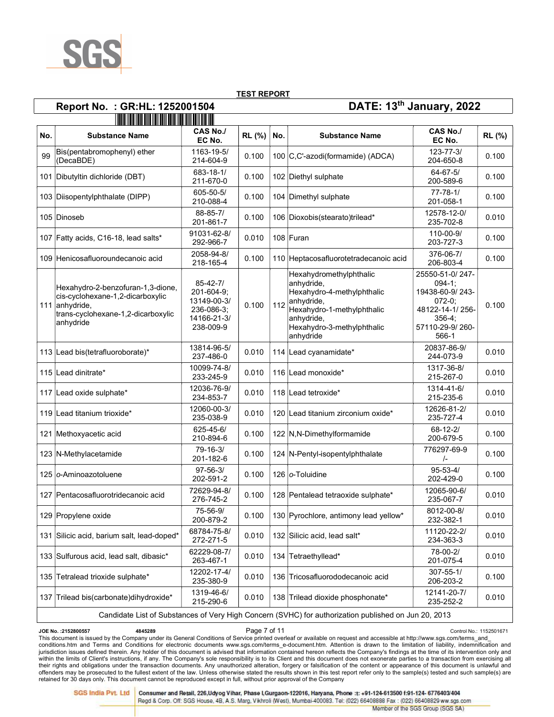

# Report No. : GR:HL: 1252001504 DATE: 13th January, 2022

|     | <u> 1999 - Paris Maria Maria Andrea Andrew Maria Andrew Maria Andrew Maria Andrew Maria Andrew Maria Andrew Mari</u>                       |                                                                                       |        |     |                                                                                                                                                                          |                                                                                                                       |        |
|-----|--------------------------------------------------------------------------------------------------------------------------------------------|---------------------------------------------------------------------------------------|--------|-----|--------------------------------------------------------------------------------------------------------------------------------------------------------------------------|-----------------------------------------------------------------------------------------------------------------------|--------|
| No. | <b>Substance Name</b>                                                                                                                      | <b>CAS No./</b><br>EC No.                                                             | RL (%) | No. | <b>Substance Name</b>                                                                                                                                                    | CAS No./<br>EC No.                                                                                                    | RL (%) |
| 99  | Bis(pentabromophenyl) ether<br>(DecaBDE)                                                                                                   | 1163-19-5/<br>214-604-9                                                               | 0.100  |     | 100 C,C'-azodi(formamide) (ADCA)                                                                                                                                         | $123 - 77 - 3/$<br>204-650-8                                                                                          | 0.100  |
|     | 101 Dibutyltin dichloride (DBT)                                                                                                            | 683-18-1/<br>211-670-0                                                                | 0.100  |     | 102 Diethyl sulphate                                                                                                                                                     | $64 - 67 - 5/$<br>200-589-6                                                                                           | 0.100  |
|     | 103 Diisopentylphthalate (DIPP)                                                                                                            | 605-50-5/<br>210-088-4                                                                | 0.100  |     | 104 Dimethyl sulphate                                                                                                                                                    | $77 - 78 - 1/$<br>201-058-1                                                                                           | 0.100  |
|     | 105 Dinoseb                                                                                                                                | 88-85-7/<br>201-861-7                                                                 | 0.100  |     | 106 Dioxobis(stearato)trilead*                                                                                                                                           | 12578-12-0/<br>235-702-8                                                                                              | 0.010  |
|     | 107 Fatty acids, C16-18, lead salts*                                                                                                       | 91031-62-8/<br>292-966-7                                                              | 0.010  |     | 108 Furan                                                                                                                                                                | 110-00-9/<br>203-727-3                                                                                                | 0.100  |
|     | 109 Henicosafluoroundecanoic acid                                                                                                          | 2058-94-8/<br>218-165-4                                                               | 0.100  |     | 110 Heptacosafluorotetradecanoic acid                                                                                                                                    | 376-06-7/<br>206-803-4                                                                                                | 0.100  |
|     | Hexahydro-2-benzofuran-1,3-dione,<br>cis-cyclohexane-1,2-dicarboxylic<br>111 anhydride.<br>trans-cyclohexane-1,2-dicarboxylic<br>anhydride | $85 - 42 - 7/$<br>201-604-9;<br>13149-00-3/<br>236-086-3:<br>14166-21-3/<br>238-009-9 | 0.100  | 112 | Hexahydromethylphthalic<br>anhydride,<br>Hexahydro-4-methylphthalic<br>anhydride,<br>Hexahydro-1-methylphthalic<br>anhydride,<br>Hexahydro-3-methylphthalic<br>anhydride | 25550-51-0/247-<br>$094-1$ ;<br>19438-60-9/243-<br>$072-0$ ;<br>48122-14-1/256-<br>356-4:<br>57110-29-9/260-<br>566-1 | 0.100  |
|     | 113 Lead bis (tetrafluoroborate)*                                                                                                          | 13814-96-5/<br>237-486-0                                                              | 0.010  |     | 114 Lead cyanamidate*                                                                                                                                                    | 20837-86-9/<br>244-073-9                                                                                              | 0.010  |
|     | 115 Lead dinitrate*                                                                                                                        | 10099-74-8/<br>233-245-9                                                              | 0.010  |     | 116 Lead monoxide*                                                                                                                                                       | 1317-36-8/<br>215-267-0                                                                                               | 0.010  |
|     | 117 Lead oxide sulphate*                                                                                                                   | 12036-76-9/<br>234-853-7                                                              | 0.010  |     | 118 Lead tetroxide*                                                                                                                                                      | 1314-41-6/<br>215-235-6                                                                                               | 0.010  |
|     | 119 Lead titanium trioxide*                                                                                                                | 12060-00-3/<br>235-038-9                                                              | 0.010  |     | 120 Lead titanium zirconium oxide*                                                                                                                                       | 12626-81-2/<br>235-727-4                                                                                              | 0.010  |
|     | 121 Methoxyacetic acid                                                                                                                     | 625-45-6/<br>210-894-6                                                                | 0.100  |     | 122 N, N-Dimethylformamide                                                                                                                                               | 68-12-2/<br>200-679-5                                                                                                 | 0.100  |
|     | 123 N-Methylacetamide                                                                                                                      | $79 - 16 - 3/$<br>201-182-6                                                           | 0.100  |     | 124 N-Pentyl-isopentylphthalate                                                                                                                                          | 776297-69-9<br>$\frac{1}{2}$                                                                                          | 0.100  |
|     | 125 lo-Aminoazotoluene                                                                                                                     | $97 - 56 - 3/$<br>202-591-2                                                           | 0.100  |     | 126 o-Toluidine                                                                                                                                                          | $95 - 53 - 4/$<br>202-429-0                                                                                           | 0.100  |
|     | 127 Pentacosafluorotridecanoic acid                                                                                                        | 72629-94-8/<br>276-745-2                                                              | 0.100  |     | 128 Pentalead tetraoxide sulphate*                                                                                                                                       | 12065-90-6/<br>235-067-7                                                                                              | 0.010  |
|     | 129 Propylene oxide                                                                                                                        | 75-56-9/<br>200-879-2                                                                 | 0.100  |     | 130 Pyrochlore, antimony lead yellow*                                                                                                                                    | 8012-00-8/<br>232-382-1                                                                                               | 0.010  |
|     | 131 Silicic acid, barium salt, lead-doped*                                                                                                 | 68784-75-8/<br>272-271-5                                                              | 0.010  |     | 132 Silicic acid, lead salt*                                                                                                                                             | 11120-22-2/<br>234-363-3                                                                                              | 0.010  |
|     | 133 Sulfurous acid, lead salt, dibasic*                                                                                                    | 62229-08-7/<br>263-467-1                                                              | 0.010  |     | 134 Tetraethyllead*                                                                                                                                                      | 78-00-2/<br>201-075-4                                                                                                 | 0.010  |
|     | 135 Tetralead trioxide sulphate*                                                                                                           | 12202-17-4/<br>235-380-9                                                              | 0.010  |     | 136 Tricosafluorododecanoic acid                                                                                                                                         | $307 - 55 - 1/$<br>206-203-2                                                                                          | 0.100  |
|     | 137 Trilead bis(carbonate)dihydroxide*                                                                                                     | 1319-46-6/<br>215-290-6                                                               | 0.010  |     | 138 Trilead dioxide phosphonate*                                                                                                                                         | 12141-20-7/<br>235-252-2                                                                                              | 0.010  |
|     |                                                                                                                                            |                                                                                       |        |     | Candidate List of Substances of Very High Concern (SVHC) for authorization published on Jun 20, 2013                                                                     |                                                                                                                       |        |

#### Candidate List of Substances of Very High Concern (SVHC) for authorization published on Jun 20, 2013

ODE No. :2152800557 Control No.: 1152501671<br>This document is issued by the Company under its General Conditions of Service printed overleaf or available on request and accessible at http://www.sgs.com/terms\_and\_ conditions.htm and Terms and Conditions for electronic documents www.sgs.com/terms\_e-document.htm. Attention is drawn to the limitation of liability, indemnification and jurisdiction issues defined therein. Any holder of this document is advised that information contained hereon reflects the Company's findings at the time of its intervention only and within the limits of Client's instructions, if any. The Company's sole responsibility is to its Client and this document does not exonerate parties to a transaction from exercising all<br>their rights and obligations under th retained for 30 days only. This document cannot be reproduced except in full, without prior approval of the Company

**SGS India Pvt. Ltd** 

Consumer and Retail, 226, Udyog Vihar, Phase I, Gurgaon-122016, Haryana, Phone :t: +91-124-613500 f:91-124-6776403/404 Regd & Corp. Off: SGS House, 4B, A.S. Marg, Vikhroli (West), Mumbai-400083. Tel: (022) 66408888 Fax: (022) 66408829 ww.sgs.com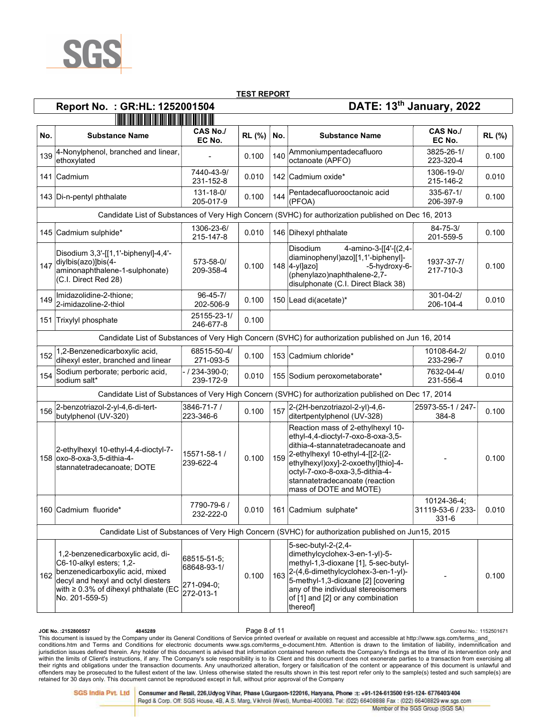

# Report No. : GR:HL: 1252001504 DATE: 13th January, 2022

|     | <u> 1989 - Andrew Maria Maria Maria Maria Maria Maria Maria Maria Maria Maria Maria Maria Maria Maria Maria Mari</u>                                                                             |                                                       |        |     |                                                                                                                                                                                                                                                                                        |                                           |        |  |  |  |
|-----|--------------------------------------------------------------------------------------------------------------------------------------------------------------------------------------------------|-------------------------------------------------------|--------|-----|----------------------------------------------------------------------------------------------------------------------------------------------------------------------------------------------------------------------------------------------------------------------------------------|-------------------------------------------|--------|--|--|--|
| No. | <b>Substance Name</b>                                                                                                                                                                            | <b>CAS No./</b><br>EC No.                             | RL (%) | No. | <b>Substance Name</b>                                                                                                                                                                                                                                                                  | CAS No./<br>EC No.                        | RL (%) |  |  |  |
| 139 | 4-Nonylphenol, branched and linear,<br>ethoxylated                                                                                                                                               |                                                       | 0.100  | 140 | Ammoniumpentadecafluoro<br>octanoate (APFO)                                                                                                                                                                                                                                            | 3825-26-1/<br>223-320-4                   | 0.100  |  |  |  |
|     | 141 Cadmium                                                                                                                                                                                      | 7440-43-9/<br>231-152-8                               | 0.010  |     | 142 Cadmium oxide*                                                                                                                                                                                                                                                                     | 1306-19-0/<br>215-146-2                   | 0.010  |  |  |  |
|     | 143 Di-n-pentyl phthalate                                                                                                                                                                        | $131 - 18 - 0/$<br>205-017-9                          | 0.100  | 144 | Pentadecafluorooctanoic acid<br>(PFOA)                                                                                                                                                                                                                                                 | $335 - 67 - 1/$<br>206-397-9              | 0.100  |  |  |  |
|     |                                                                                                                                                                                                  |                                                       |        |     | Candidate List of Substances of Very High Concern (SVHC) for authorization published on Dec 16, 2013                                                                                                                                                                                   |                                           |        |  |  |  |
|     | 145 Cadmium sulphide*                                                                                                                                                                            | 1306-23-6/<br>215-147-8                               | 0.010  |     | 146 Dihexyl phthalate                                                                                                                                                                                                                                                                  | $84 - 75 - 3/$<br>201-559-5               | 0.100  |  |  |  |
| 147 | Disodium 3,3'-[[1,1'-biphenyl]-4,4'-<br>diylbis(azo)]bis(4-<br>aminonaphthalene-1-sulphonate)<br>(C.I. Direct Red 28)                                                                            | 573-58-0/<br>209-358-4                                | 0.100  |     | <b>Disodium</b><br>4-amino-3-[[4'-[(2,4-<br>diaminophenyl)azo][1,1'-biphenyl]-<br>148 4-yl]azo]<br>-5-hydroxy-6-<br>(phenylazo)naphthalene-2,7-<br>disulphonate (C.I. Direct Black 38)                                                                                                 | 1937-37-7/<br>217-710-3                   | 0.100  |  |  |  |
| 149 | Imidazolidine-2-thione;<br>2-imidazoline-2-thiol                                                                                                                                                 | $96 - 45 - 7/$<br>202-506-9                           | 0.100  |     | 150 Lead di(acetate)*                                                                                                                                                                                                                                                                  | $301 - 04 - 2/$<br>206-104-4              | 0.010  |  |  |  |
|     | 151 Trixylyl phosphate                                                                                                                                                                           | 25155-23-1/<br>246-677-8                              | 0.100  |     |                                                                                                                                                                                                                                                                                        |                                           |        |  |  |  |
|     |                                                                                                                                                                                                  |                                                       |        |     | Candidate List of Substances of Very High Concern (SVHC) for authorization published on Jun 16, 2014                                                                                                                                                                                   |                                           |        |  |  |  |
| 152 | 1,2-Benzenedicarboxylic acid,<br>dihexyl ester, branched and linear                                                                                                                              | 68515-50-4/<br>271-093-5                              | 0.100  |     | 153 Cadmium chloride*                                                                                                                                                                                                                                                                  | 10108-64-2/<br>233-296-7                  | 0.010  |  |  |  |
| 154 | Sodium perborate; perboric acid,<br>sodium salt*                                                                                                                                                 | - / 234-390-0:<br>239-172-9                           | 0.010  |     | 155 Sodium peroxometaborate*                                                                                                                                                                                                                                                           | 7632-04-4/<br>231-556-4                   | 0.010  |  |  |  |
|     |                                                                                                                                                                                                  |                                                       |        |     | Candidate List of Substances of Very High Concern (SVHC) for authorization published on Dec 17, 2014                                                                                                                                                                                   |                                           |        |  |  |  |
| 156 | 2-benzotriazol-2-yl-4,6-di-tert-<br>butylphenol (UV-320)                                                                                                                                         | 3846-71-7 /<br>223-346-6                              | 0.100  | 157 | 2-(2H-benzotriazol-2-yl)-4,6-<br>ditertpentylphenol (UV-328)                                                                                                                                                                                                                           | 25973-55-1 / 247-<br>384-8                | 0.100  |  |  |  |
|     | 2-ethylhexyl 10-ethyl-4,4-dioctyl-7-<br>158 oxo-8-oxa-3,5-dithia-4-<br>stannatetradecanoate; DOTE                                                                                                | 15571-58-1 /<br>239-622-4                             | 0.100  | 159 | Reaction mass of 2-ethylhexyl 10-<br>ethyl-4,4-dioctyl-7-oxo-8-oxa-3,5-<br>dithia-4-stannatetradecanoate and<br>2-ethylhexyl 10-ethyl-4-[[2-[(2-<br>ethylhexyl)oxy]-2-oxoethyl]thio]-4-<br>octyl-7-oxo-8-oxa-3,5-dithia-4-<br>stannatetradecanoate (reaction<br>mass of DOTE and MOTE) |                                           | 0.100  |  |  |  |
|     | 160 Cadmium fluoride*                                                                                                                                                                            | 7790-79-6 /<br>232-222-0                              | 0.010  |     | 161 Cadmium sulphate*                                                                                                                                                                                                                                                                  | 10124-36-4:<br>31119-53-6 / 233-<br>331-6 | 0.010  |  |  |  |
|     |                                                                                                                                                                                                  |                                                       |        |     | Candidate List of Substances of Very High Concern (SVHC) for authorization published on Jun15, 2015                                                                                                                                                                                    |                                           |        |  |  |  |
| 162 | 1,2-benzenedicarboxylic acid, di-<br>C6-10-alkyl esters; 1,2-<br>benzenedicarboxylic acid, mixed<br>decyl and hexyl and octyl diesters<br>with ≥ 0.3% of dihexyl phthalate (EC<br>No. 201-559-5) | 68515-51-5;<br>68648-93-1/<br>271-094-0;<br>272-013-1 | 0.100  | 163 | 5-sec-butyl-2-(2,4-<br>dimethylcyclohex-3-en-1-yl)-5-<br>methyl-1,3-dioxane [1], 5-sec-butyl-<br>2-(4,6-dimethylcyclohex-3-en-1-yl)-<br>5-methyl-1,3-dioxane [2] [covering<br>any of the individual stereoisomers<br>of [1] and [2] or any combination<br>thereof                      |                                           | 0.100  |  |  |  |

Ontrol No.: 2152800557 Control No.: 1152501671<br>This document is issued by the Company under its General Conditions of Service printed overleaf or available on request and accessible at http://www.sgs.com/terms\_and\_ conditions.htm and Terms and Conditions for electronic documents www.sgs.com/terms\_e-document.htm. Attention is drawn to the limitation of liability, indemnification and jurisdiction issues defined therein. Any holder of this document is advised that information contained hereon reflects the Company's findings at the time of its intervention only and within the limits of Client's instructions, if any. The Company's sole responsibility is to its Client and this document does not exonerate parties to a transaction from exercising all<br>their rights and obligations under th retained for 30 days only. This document cannot be reproduced except in full, without prior approval of the Company

Consumer and Retail, 226, Udyog Vihar, Phase I, Gurgaon-122016, Haryana, Phone :t: +91-124-613500 f:91-124-6776403/404 Regd & Corp. Off: SGS House, 4B, A.S. Marg, Vikhroli (West), Mumbai-400083. Tel: (022) 66408888 Fax: (022) 66408829 ww.sgs.com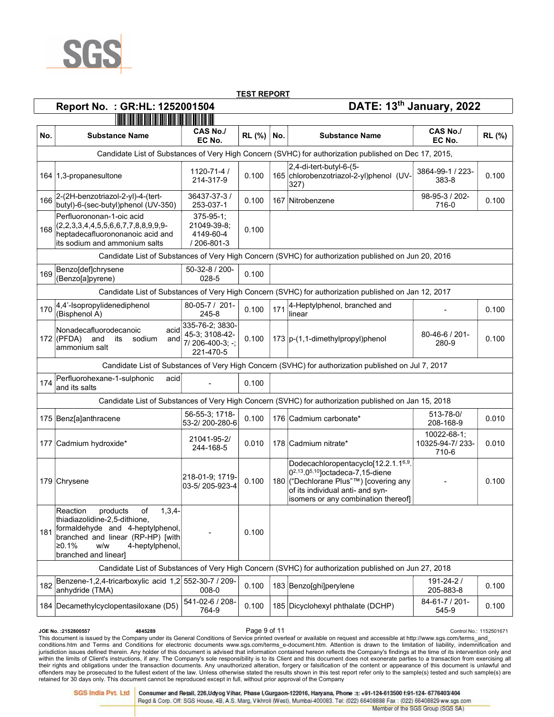

| <b>CAS No./</b><br><b>CAS No./</b><br>RL (%)<br><b>Substance Name</b><br>No.<br><b>Substance Name</b><br>EC No.<br>EC No.<br>Candidate List of Substances of Very High Concern (SVHC) for authorization published on Dec 17, 2015,<br>$ 2,4$ -di-tert-butyl-6- $(5-$<br>1120-71-4 /<br>3864-99-1 / 223-<br>165 chlorobenzotriazol-2-yl)phenol (UV-<br>164 1,3-propanesultone<br>0.100<br>214-317-9<br>383-8<br>$ 327\rangle$<br>36437-37-3/<br>2-(2H-benzotriazol-2-yl)-4-(tert-<br>98-95-3 / 202-<br>0.100<br>167 Nitrobenzene<br>butyl)-6-(sec-butyl)phenol (UV-350)<br>253-037-1<br>716-0<br>Perfluorononan-1-oic acid<br>$375 - 95 - 1$ ;<br>$(2,2,3,3,4,4,5,5,6,6,7,7,8,8,9,9,9-$<br>21049-39-8;<br>0.100<br>heptadecafluorononanoic acid and<br>4149-60-4<br>its sodium and ammonium salts<br>/ 206-801-3<br>Candidate List of Substances of Very High Concern (SVHC) for authorization published on Jun 20, 2016<br>Benzo[def]chrysene<br>50-32-8 / 200-<br>0.100<br>(Benzo[a]pyrene)<br>028-5<br>Candidate List of Substances of Very High Concern (SVHC) for authorization published on Jan 12, 2017<br>80-05-7 / 201-<br>4-Heptylphenol, branched and<br>4,4'-Isopropylidenediphenol<br>0.100<br>171<br>(Bisphenol A)<br>245-8<br>llinear<br>335-76-2; 3830-<br>Nonadecafluorodecanoic<br>acid<br>45-3; 3108-42-<br>80-46-6 / 201-<br>$172$ (PFDA) and<br>0.100<br>173  p-(1,1-dimethylpropyl)phenol<br>its<br>sodium<br>and<br>7/206-400-3; -;<br>280-9<br>ammonium salt<br>221-470-5<br>Candidate List of Substances of Very High Concern (SVHC) for authorization published on Jul 7, 2017<br>Perfluorohexane-1-sulphonic<br>acid<br>0.100<br>and its salts<br>Candidate List of Substances of Very High Concern (SVHC) for authorization published on Jan 15, 2018<br>56-55-3: 1718-<br>513-78-0/<br>0.100<br>175 Benz[a]anthracene<br>176 Cadmium carbonate*<br>53-2/200-280-6<br>208-168-9<br>10022-68-1;<br>21041-95-2/<br>10325-94-7/233-<br>177 Cadmium hydroxide*<br>0.010<br>178 Cadmium nitrate*<br>244-168-5<br>710-6<br>Dodecachloropentacyclo[12.2.1.16,9.<br>$[0^{2,13}.0^{5,10}]$ octadeca-7,15-diene<br>218-01-9; 1719-<br>180 ("Dechlorane Plus"™) [covering any<br>179 Chrysene<br>0.100<br>03-5/205-923-4<br>of its individual anti- and syn-<br>isomers or any combination thereof]<br>products<br>Reaction<br>$1,3,4-$<br>of<br>thiadiazolidine-2,5-dithione,<br>formaldehyde and 4-heptylphenol,<br>0.100<br>branched and linear (RP-HP) [with<br>$\ge 0.1\%$<br>w/w<br>4-heptylphenol,<br>branched and linear]<br>Candidate List of Substances of Very High Concern (SVHC) for authorization published on Jun 27, 2018<br>Benzene-1,2,4-tricarboxylic acid 1,2 552-30-7 / 209-<br>191-24-2/<br>0.100<br>183 Benzo[ghi]perylene<br>anhydride (TMA)<br>008-0<br>205-883-8<br>541-02-6 / 208-<br>84-61-7 / 201-<br>184 Decamethylcyclopentasiloxane (D5)<br>0.100<br>185 Dicyclohexyl phthalate (DCHP)<br>764-9<br>545-9 |     | Report No. : GR:HL: 1252001504 |  | DATE: 13th January, 2022 |        |
|----------------------------------------------------------------------------------------------------------------------------------------------------------------------------------------------------------------------------------------------------------------------------------------------------------------------------------------------------------------------------------------------------------------------------------------------------------------------------------------------------------------------------------------------------------------------------------------------------------------------------------------------------------------------------------------------------------------------------------------------------------------------------------------------------------------------------------------------------------------------------------------------------------------------------------------------------------------------------------------------------------------------------------------------------------------------------------------------------------------------------------------------------------------------------------------------------------------------------------------------------------------------------------------------------------------------------------------------------------------------------------------------------------------------------------------------------------------------------------------------------------------------------------------------------------------------------------------------------------------------------------------------------------------------------------------------------------------------------------------------------------------------------------------------------------------------------------------------------------------------------------------------------------------------------------------------------------------------------------------------------------------------------------------------------------------------------------------------------------------------------------------------------------------------------------------------------------------------------------------------------------------------------------------------------------------------------------------------------------------------------------------------------------------------------------------------------------------------------------------------------------------------------------------------------------------------------------------------------------------------------------------------------------------------------------------------------------------------------------------------------------------------------------------------------------------------------------------------------------------------------------------------------------------------------------------------------------|-----|--------------------------------|--|--------------------------|--------|
|                                                                                                                                                                                                                                                                                                                                                                                                                                                                                                                                                                                                                                                                                                                                                                                                                                                                                                                                                                                                                                                                                                                                                                                                                                                                                                                                                                                                                                                                                                                                                                                                                                                                                                                                                                                                                                                                                                                                                                                                                                                                                                                                                                                                                                                                                                                                                                                                                                                                                                                                                                                                                                                                                                                                                                                                                                                                                                                                                          |     |                                |  |                          |        |
|                                                                                                                                                                                                                                                                                                                                                                                                                                                                                                                                                                                                                                                                                                                                                                                                                                                                                                                                                                                                                                                                                                                                                                                                                                                                                                                                                                                                                                                                                                                                                                                                                                                                                                                                                                                                                                                                                                                                                                                                                                                                                                                                                                                                                                                                                                                                                                                                                                                                                                                                                                                                                                                                                                                                                                                                                                                                                                                                                          | No. |                                |  |                          | RL (%) |
|                                                                                                                                                                                                                                                                                                                                                                                                                                                                                                                                                                                                                                                                                                                                                                                                                                                                                                                                                                                                                                                                                                                                                                                                                                                                                                                                                                                                                                                                                                                                                                                                                                                                                                                                                                                                                                                                                                                                                                                                                                                                                                                                                                                                                                                                                                                                                                                                                                                                                                                                                                                                                                                                                                                                                                                                                                                                                                                                                          |     |                                |  |                          |        |
|                                                                                                                                                                                                                                                                                                                                                                                                                                                                                                                                                                                                                                                                                                                                                                                                                                                                                                                                                                                                                                                                                                                                                                                                                                                                                                                                                                                                                                                                                                                                                                                                                                                                                                                                                                                                                                                                                                                                                                                                                                                                                                                                                                                                                                                                                                                                                                                                                                                                                                                                                                                                                                                                                                                                                                                                                                                                                                                                                          |     |                                |  |                          | 0.100  |
|                                                                                                                                                                                                                                                                                                                                                                                                                                                                                                                                                                                                                                                                                                                                                                                                                                                                                                                                                                                                                                                                                                                                                                                                                                                                                                                                                                                                                                                                                                                                                                                                                                                                                                                                                                                                                                                                                                                                                                                                                                                                                                                                                                                                                                                                                                                                                                                                                                                                                                                                                                                                                                                                                                                                                                                                                                                                                                                                                          | 166 |                                |  |                          | 0.100  |
|                                                                                                                                                                                                                                                                                                                                                                                                                                                                                                                                                                                                                                                                                                                                                                                                                                                                                                                                                                                                                                                                                                                                                                                                                                                                                                                                                                                                                                                                                                                                                                                                                                                                                                                                                                                                                                                                                                                                                                                                                                                                                                                                                                                                                                                                                                                                                                                                                                                                                                                                                                                                                                                                                                                                                                                                                                                                                                                                                          | 168 |                                |  |                          |        |
|                                                                                                                                                                                                                                                                                                                                                                                                                                                                                                                                                                                                                                                                                                                                                                                                                                                                                                                                                                                                                                                                                                                                                                                                                                                                                                                                                                                                                                                                                                                                                                                                                                                                                                                                                                                                                                                                                                                                                                                                                                                                                                                                                                                                                                                                                                                                                                                                                                                                                                                                                                                                                                                                                                                                                                                                                                                                                                                                                          |     |                                |  |                          |        |
|                                                                                                                                                                                                                                                                                                                                                                                                                                                                                                                                                                                                                                                                                                                                                                                                                                                                                                                                                                                                                                                                                                                                                                                                                                                                                                                                                                                                                                                                                                                                                                                                                                                                                                                                                                                                                                                                                                                                                                                                                                                                                                                                                                                                                                                                                                                                                                                                                                                                                                                                                                                                                                                                                                                                                                                                                                                                                                                                                          | 169 |                                |  |                          |        |
|                                                                                                                                                                                                                                                                                                                                                                                                                                                                                                                                                                                                                                                                                                                                                                                                                                                                                                                                                                                                                                                                                                                                                                                                                                                                                                                                                                                                                                                                                                                                                                                                                                                                                                                                                                                                                                                                                                                                                                                                                                                                                                                                                                                                                                                                                                                                                                                                                                                                                                                                                                                                                                                                                                                                                                                                                                                                                                                                                          |     |                                |  |                          |        |
|                                                                                                                                                                                                                                                                                                                                                                                                                                                                                                                                                                                                                                                                                                                                                                                                                                                                                                                                                                                                                                                                                                                                                                                                                                                                                                                                                                                                                                                                                                                                                                                                                                                                                                                                                                                                                                                                                                                                                                                                                                                                                                                                                                                                                                                                                                                                                                                                                                                                                                                                                                                                                                                                                                                                                                                                                                                                                                                                                          | 170 |                                |  |                          | 0.100  |
|                                                                                                                                                                                                                                                                                                                                                                                                                                                                                                                                                                                                                                                                                                                                                                                                                                                                                                                                                                                                                                                                                                                                                                                                                                                                                                                                                                                                                                                                                                                                                                                                                                                                                                                                                                                                                                                                                                                                                                                                                                                                                                                                                                                                                                                                                                                                                                                                                                                                                                                                                                                                                                                                                                                                                                                                                                                                                                                                                          |     |                                |  |                          | 0.100  |
|                                                                                                                                                                                                                                                                                                                                                                                                                                                                                                                                                                                                                                                                                                                                                                                                                                                                                                                                                                                                                                                                                                                                                                                                                                                                                                                                                                                                                                                                                                                                                                                                                                                                                                                                                                                                                                                                                                                                                                                                                                                                                                                                                                                                                                                                                                                                                                                                                                                                                                                                                                                                                                                                                                                                                                                                                                                                                                                                                          |     |                                |  |                          |        |
|                                                                                                                                                                                                                                                                                                                                                                                                                                                                                                                                                                                                                                                                                                                                                                                                                                                                                                                                                                                                                                                                                                                                                                                                                                                                                                                                                                                                                                                                                                                                                                                                                                                                                                                                                                                                                                                                                                                                                                                                                                                                                                                                                                                                                                                                                                                                                                                                                                                                                                                                                                                                                                                                                                                                                                                                                                                                                                                                                          | 174 |                                |  |                          |        |
|                                                                                                                                                                                                                                                                                                                                                                                                                                                                                                                                                                                                                                                                                                                                                                                                                                                                                                                                                                                                                                                                                                                                                                                                                                                                                                                                                                                                                                                                                                                                                                                                                                                                                                                                                                                                                                                                                                                                                                                                                                                                                                                                                                                                                                                                                                                                                                                                                                                                                                                                                                                                                                                                                                                                                                                                                                                                                                                                                          |     |                                |  |                          |        |
|                                                                                                                                                                                                                                                                                                                                                                                                                                                                                                                                                                                                                                                                                                                                                                                                                                                                                                                                                                                                                                                                                                                                                                                                                                                                                                                                                                                                                                                                                                                                                                                                                                                                                                                                                                                                                                                                                                                                                                                                                                                                                                                                                                                                                                                                                                                                                                                                                                                                                                                                                                                                                                                                                                                                                                                                                                                                                                                                                          |     |                                |  |                          | 0.010  |
|                                                                                                                                                                                                                                                                                                                                                                                                                                                                                                                                                                                                                                                                                                                                                                                                                                                                                                                                                                                                                                                                                                                                                                                                                                                                                                                                                                                                                                                                                                                                                                                                                                                                                                                                                                                                                                                                                                                                                                                                                                                                                                                                                                                                                                                                                                                                                                                                                                                                                                                                                                                                                                                                                                                                                                                                                                                                                                                                                          |     |                                |  |                          | 0.010  |
|                                                                                                                                                                                                                                                                                                                                                                                                                                                                                                                                                                                                                                                                                                                                                                                                                                                                                                                                                                                                                                                                                                                                                                                                                                                                                                                                                                                                                                                                                                                                                                                                                                                                                                                                                                                                                                                                                                                                                                                                                                                                                                                                                                                                                                                                                                                                                                                                                                                                                                                                                                                                                                                                                                                                                                                                                                                                                                                                                          |     |                                |  |                          | 0.100  |
|                                                                                                                                                                                                                                                                                                                                                                                                                                                                                                                                                                                                                                                                                                                                                                                                                                                                                                                                                                                                                                                                                                                                                                                                                                                                                                                                                                                                                                                                                                                                                                                                                                                                                                                                                                                                                                                                                                                                                                                                                                                                                                                                                                                                                                                                                                                                                                                                                                                                                                                                                                                                                                                                                                                                                                                                                                                                                                                                                          | 181 |                                |  |                          |        |
|                                                                                                                                                                                                                                                                                                                                                                                                                                                                                                                                                                                                                                                                                                                                                                                                                                                                                                                                                                                                                                                                                                                                                                                                                                                                                                                                                                                                                                                                                                                                                                                                                                                                                                                                                                                                                                                                                                                                                                                                                                                                                                                                                                                                                                                                                                                                                                                                                                                                                                                                                                                                                                                                                                                                                                                                                                                                                                                                                          |     |                                |  |                          |        |
|                                                                                                                                                                                                                                                                                                                                                                                                                                                                                                                                                                                                                                                                                                                                                                                                                                                                                                                                                                                                                                                                                                                                                                                                                                                                                                                                                                                                                                                                                                                                                                                                                                                                                                                                                                                                                                                                                                                                                                                                                                                                                                                                                                                                                                                                                                                                                                                                                                                                                                                                                                                                                                                                                                                                                                                                                                                                                                                                                          | 182 |                                |  |                          | 0.100  |
|                                                                                                                                                                                                                                                                                                                                                                                                                                                                                                                                                                                                                                                                                                                                                                                                                                                                                                                                                                                                                                                                                                                                                                                                                                                                                                                                                                                                                                                                                                                                                                                                                                                                                                                                                                                                                                                                                                                                                                                                                                                                                                                                                                                                                                                                                                                                                                                                                                                                                                                                                                                                                                                                                                                                                                                                                                                                                                                                                          |     |                                |  |                          | 0.100  |

Ontrol No.: 2152800557 Control No.: 1152501671<br>This document is issued by the Company under its General Conditions of Service printed overleaf or available on request and accessible at http://www.sgs.com/terms\_and\_ conditions.htm and Terms and Conditions for electronic documents www.sgs.com/terms\_e-document.htm. Attention is drawn to the limitation of liability, indemnification and jurisdiction issues defined therein. Any holder of this document is advised that information contained hereon reflects the Company's findings at the time of its intervention only and within the limits of Client's instructions, if any. The Company's sole responsibility is to its Client and this document does not exonerate parties to a transaction from exercising all<br>their rights and obligations under th retained for 30 days only. This document cannot be reproduced except in full, without prior approval of the Company

**SGS India Pvt. Ltd** Consumer and Retail, 226, Udyog Vihar, Phase I, Gurgaon-122016, Haryana, Phone :t: +91-124-613500 f:91-124-6776403/404

Regd & Corp. Off: SGS House, 4B, A.S. Marg, Vikhroli (West), Mumbai-400083. Tel: (022) 66408888 Fax: (022) 66408829 ww.sgs.com Member of the SGS Group (SGS SA)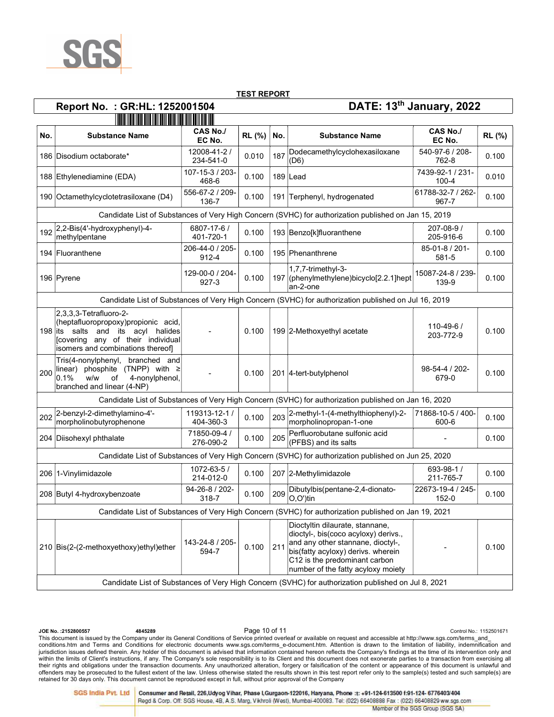

# Report No. : GR:HL: 1252001504 DATE: 13th January, 2022

| No. | <b>Substance Name</b>                                                                                                                                                            | <b>CAS No./</b><br>EC No.    | RL (%) | No. | <b>Substance Name</b>                                                                                                                                                                                                     | CAS No./<br>EC No.            | RL (%) |  |  |  |  |
|-----|----------------------------------------------------------------------------------------------------------------------------------------------------------------------------------|------------------------------|--------|-----|---------------------------------------------------------------------------------------------------------------------------------------------------------------------------------------------------------------------------|-------------------------------|--------|--|--|--|--|
|     | 186 Disodium octaborate*                                                                                                                                                         | 12008-41-2 /<br>234-541-0    | 0.010  | 187 | Dodecamethylcyclohexasiloxane<br>$($ D <sub>6</sub> $)$                                                                                                                                                                   | 540-97-6 / 208-<br>762-8      | 0.100  |  |  |  |  |
|     | 188 Ethylenediamine (EDA)                                                                                                                                                        | 107-15-3 / 203-<br>468-6     | 0.100  |     | $189$ Lead                                                                                                                                                                                                                | 7439-92-1 / 231-<br>$100 - 4$ | 0.010  |  |  |  |  |
|     | 190 Octamethylcyclotetrasiloxane (D4)                                                                                                                                            | 556-67-2 / 209-<br>136-7     | 0.100  |     | 191 Terphenyl, hydrogenated                                                                                                                                                                                               | 61788-32-7 / 262-<br>967-7    | 0.100  |  |  |  |  |
|     |                                                                                                                                                                                  |                              |        |     | Candidate List of Substances of Very High Concern (SVHC) for authorization published on Jan 15, 2019                                                                                                                      |                               |        |  |  |  |  |
| 192 | 2,2-Bis(4'-hydroxyphenyl)-4-<br>methylpentane                                                                                                                                    | 6807-17-6 /<br>401-720-1     | 0.100  |     | 193 Benzo[k]fluoranthene                                                                                                                                                                                                  | 207-08-9 /<br>205-916-6       | 0.100  |  |  |  |  |
|     | 194 Fluoranthene                                                                                                                                                                 | 206-44-0 / 205-<br>912-4     | 0.100  |     | 195 Phenanthrene                                                                                                                                                                                                          | 85-01-8 / 201-<br>581-5       | 0.100  |  |  |  |  |
|     | 196 Pyrene                                                                                                                                                                       | 129-00-0 / 204-<br>$927 - 3$ | 0.100  |     | 1,7,7-trimethyl-3-<br>197 (phenylmethylene)bicyclo[2.2.1]hept<br>an-2-one                                                                                                                                                 | 15087-24-8 / 239-<br>139-9    | 0.100  |  |  |  |  |
|     |                                                                                                                                                                                  |                              |        |     | Candidate List of Substances of Very High Concern (SVHC) for authorization published on Jul 16, 2019                                                                                                                      |                               |        |  |  |  |  |
|     | $ 2,3,3,3$ -Tetrafluoro-2-<br>(heptafluoropropoxy)propionic acid,<br>198 its salts and its acyl halides<br>Covering any of their individual<br>isomers and combinations thereof] |                              | 0.100  |     | 199 2-Methoxyethyl acetate                                                                                                                                                                                                | 110-49-6 /<br>203-772-9       | 0.100  |  |  |  |  |
| 200 | branched and<br>Tris(4-nonylphenyl,<br> linear) phosphite (TNPP) with ≥<br>0.1%<br>w/w<br>of<br>4-nonylphenol,<br>branched and linear (4-NP)                                     |                              | 0.100  |     | 201 4-tert-butylphenol                                                                                                                                                                                                    | 98-54-4 / 202-<br>679-0       | 0.100  |  |  |  |  |
|     |                                                                                                                                                                                  |                              |        |     | Candidate List of Substances of Very High Concern (SVHC) for authorization published on Jan 16, 2020                                                                                                                      |                               |        |  |  |  |  |
| 202 | 2-benzyl-2-dimethylamino-4'-<br>morpholinobutyrophenone                                                                                                                          | 119313-12-1 /<br>404-360-3   | 0.100  | 203 | 2-methyl-1-(4-methylthiophenyl)-2-<br>morpholinopropan-1-one                                                                                                                                                              | 71868-10-5 / 400-<br>600-6    | 0.100  |  |  |  |  |
|     | 204 Diisohexyl phthalate                                                                                                                                                         | 71850-09-4 /<br>276-090-2    | 0.100  | 205 | Perfluorobutane sulfonic acid<br>(PFBS) and its salts                                                                                                                                                                     |                               | 0.100  |  |  |  |  |
|     |                                                                                                                                                                                  |                              |        |     | Candidate List of Substances of Very High Concern (SVHC) for authorization published on Jun 25, 2020                                                                                                                      |                               |        |  |  |  |  |
|     | 206 1-Vinylimidazole                                                                                                                                                             | 1072-63-5 /<br>214-012-0     | 0.100  |     | 207 2-Methylimidazole                                                                                                                                                                                                     | 693-98-1 /<br>211-765-7       | 0.100  |  |  |  |  |
|     | 208 Butyl 4-hydroxybenzoate                                                                                                                                                      | 94-26-8 / 202-<br>318-7      | 0.100  | 209 | Dibutylbis(pentane-2,4-dionato-<br>O,O')tin                                                                                                                                                                               | 22673-19-4 / 245-<br>152-0    | 0.100  |  |  |  |  |
|     |                                                                                                                                                                                  |                              |        |     | Candidate List of Substances of Very High Concern (SVHC) for authorization published on Jan 19, 2021                                                                                                                      |                               |        |  |  |  |  |
|     | 210 Bis(2-(2-methoxyethoxy)ethyl)ether                                                                                                                                           | 143-24-8 / 205-<br>594-7     | 0.100  | 211 | Dioctyltin dilaurate, stannane,<br>dioctyl-, bis(coco acyloxy) derivs.,<br>and any other stannane, dioctyl-,<br>bis(fatty acyloxy) derivs. wherein<br>C12 is the predominant carbon<br>number of the fatty acyloxy moiety |                               | 0.100  |  |  |  |  |
|     |                                                                                                                                                                                  |                              |        |     | Candidate List of Substances of Very High Concern (SVHC) for authorization published on Jul 8, 2021                                                                                                                       |                               |        |  |  |  |  |

Ontrol No.: 2152800557 Control No.: 1152501671<br>This document is issued by the Company under its General Conditions of Service printed overleaf or available on request and accessible at http://www.sgs.com/terms\_and\_ conditions.htm and Terms and Conditions for electronic documents www.sgs.com/terms\_e-document.htm. Attention is drawn to the limitation of liability, indemnification and jurisdiction issues defined therein. Any holder of this document is advised that information contained hereon reflects the Company's findings at the time of its intervention only and within the limits of Client's instructions, if any. The Company's sole responsibility is to its Client and this document does not exonerate parties to a transaction from exercising all<br>their rights and obligations under th retained for 30 days only. This document cannot be reproduced except in full, without prior approval of the Company

**SGS India Pvt. Ltd** 

Consumer and Retail, 226, Udyog Vihar, Phase I, Gurgaon-122016, Haryana, Phone :t: +91-124-613500 f:91-124-6776403/404 Regd & Corp. Off: SGS House, 4B, A.S. Marg, Vikhroli (West), Mumbai-400083. Tel: (022) 66408888 Fax: (022) 66408829 ww.sgs.com